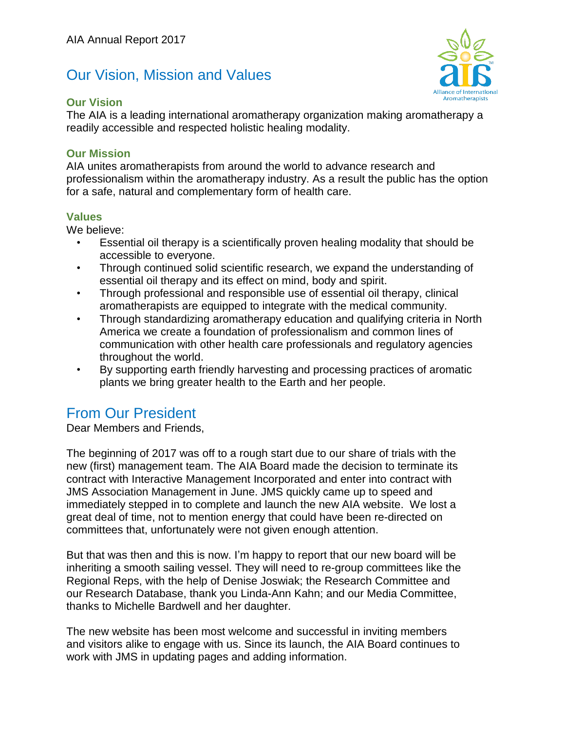# Our Vision, Mission and Values

#### **Our Vision**

Aromatherapists

The AIA is a leading international aromatherapy organization making aromatherapy a readily accessible and respected holistic healing modality.

### **Our Mission**

AIA unites aromatherapists from around the world to advance research and professionalism within the aromatherapy industry. As a result the public has the option for a safe, natural and complementary form of health care.

### **Values**

We believe:

- Essential oil therapy is a scientifically proven healing modality that should be accessible to everyone.
- Through continued solid scientific research, we expand the understanding of essential oil therapy and its effect on mind, body and spirit.
- Through professional and responsible use of essential oil therapy, clinical aromatherapists are equipped to integrate with the medical community.
- Through standardizing aromatherapy education and qualifying criteria in North America we create a foundation of professionalism and common lines of communication with other health care professionals and regulatory agencies throughout the world.
- By supporting earth friendly harvesting and processing practices of aromatic plants we bring greater health to the Earth and her people.

## From Our President

Dear Members and Friends,

The beginning of 2017 was off to a rough start due to our share of trials with the new (first) management team. The AIA Board made the decision to terminate its contract with Interactive Management Incorporated and enter into contract with JMS Association Management in June. JMS quickly came up to speed and immediately stepped in to complete and launch the new AIA website. We lost a great deal of time, not to mention energy that could have been re-directed on committees that, unfortunately were not given enough attention.

But that was then and this is now. I'm happy to report that our new board will be inheriting a smooth sailing vessel. They will need to re-group committees like the Regional Reps, with the help of Denise Joswiak; the Research Committee and our Research Database, thank you Linda-Ann Kahn; and our Media Committee, thanks to Michelle Bardwell and her daughter.

The new website has been most welcome and successful in inviting members and visitors alike to engage with us. Since its launch, the AIA Board continues to work with JMS in updating pages and adding information.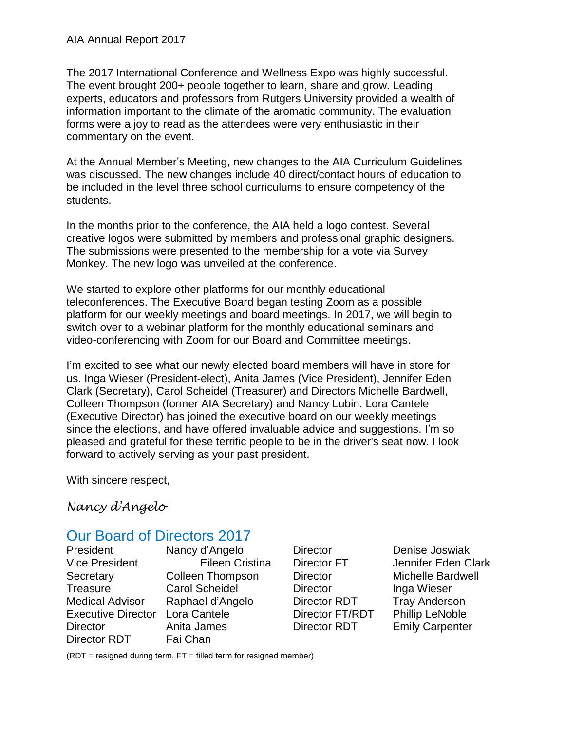The 2017 International Conference and Wellness Expo was highly successful. The event brought 200+ people together to learn, share and grow. Leading experts, educators and professors from Rutgers University provided a wealth of information important to the climate of the aromatic community. The evaluation forms were a joy to read as the attendees were very enthusiastic in their commentary on the event.

At the Annual Member's Meeting, new changes to the AIA Curriculum Guidelines was discussed. The new changes include 40 direct/contact hours of education to be included in the level three school curriculums to ensure competency of the students.

In the months prior to the conference, the AIA held a logo contest. Several creative logos were submitted by members and professional graphic designers. The submissions were presented to the membership for a vote via Survey Monkey. The new logo was unveiled at the conference.

We started to explore other platforms for our monthly educational teleconferences. The Executive Board began testing Zoom as a possible platform for our weekly meetings and board meetings. In 2017, we will begin to switch over to a webinar platform for the monthly educational seminars and video-conferencing with Zoom for our Board and Committee meetings.

I'm excited to see what our newly elected board members will have in store for us. Inga Wieser (President-elect), Anita James (Vice President), Jennifer Eden Clark (Secretary), Carol Scheidel (Treasurer) and Directors Michelle Bardwell, Colleen Thompson (former AIA Secretary) and Nancy Lubin. Lora Cantele (Executive Director) has joined the executive board on our weekly meetings since the elections, and have offered invaluable advice and suggestions. I'm so pleased and grateful for these terrific people to be in the driver's seat now. I look forward to actively serving as your past president.

With sincere respect,

*Nancy d'Angelo*

# Our Board of Directors 2017

President Nancy d'Angelo Vice President Eileen Cristina Secretary Colleen Thompson Treasure Carol Scheidel Medical Advisor Raphael d'Angelo Executive Director Lora Cantele Director Anita James Director RDT Fai Chan

Director Inga Wieser

Director Denise Joswiak Director FT Jennifer Eden Clark Director Michelle Bardwell Director RDT Tray Anderson Director FT/RDT Phillip LeNoble Director RDT Emily Carpenter

 $(RDT =$  resigned during term,  $FT =$  filled term for resigned member)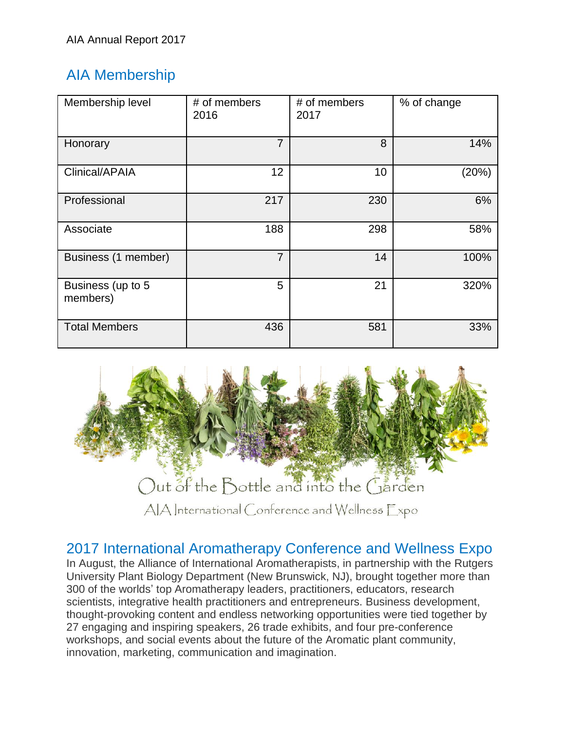# AIA Membership

| Membership level              | # of members<br>2016 | # of members<br>2017 | % of change |
|-------------------------------|----------------------|----------------------|-------------|
| Honorary                      | $\overline{7}$       | 8                    | 14%         |
| Clinical/APAIA                | 12 <sup>2</sup>      | 10                   | (20%)       |
| Professional                  | 217                  | 230                  | 6%          |
| Associate                     | 188                  | 298                  | 58%         |
| Business (1 member)           | $\overline{7}$       | 14                   | 100%        |
| Business (up to 5<br>members) | 5                    | 21                   | 320%        |
| <b>Total Members</b>          | 436                  | 581                  | 33%         |



# 2017 International Aromatherapy Conference and Wellness Expo

In August, the Alliance of International Aromatherapists, in partnership with the Rutgers University Plant Biology Department (New Brunswick, NJ), brought together more than 300 of the worlds' top Aromatherapy leaders, practitioners, educators, research scientists, integrative health practitioners and entrepreneurs. Business development, thought-provoking content and endless networking opportunities were tied together by 27 engaging and inspiring speakers, 26 trade exhibits, and four pre-conference workshops, and social events about the future of the Aromatic plant community, innovation, marketing, communication and imagination.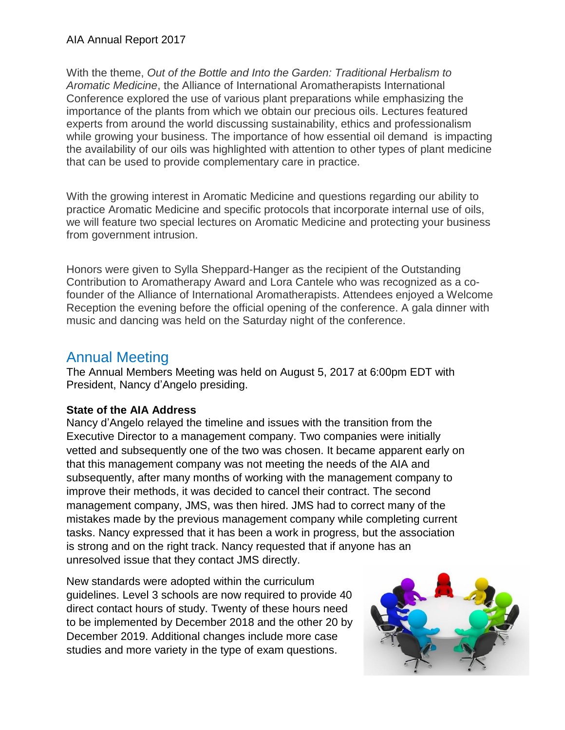With the theme, *Out of the Bottle and Into the Garden: Traditional Herbalism to Aromatic Medicine*, the Alliance of International Aromatherapists International Conference explored the use of various plant preparations while emphasizing the importance of the plants from which we obtain our precious oils. Lectures featured experts from around the world discussing sustainability, ethics and professionalism while growing your business. The importance of how essential oil demand is impacting the availability of our oils was highlighted with attention to other types of plant medicine that can be used to provide complementary care in practice.

With the growing interest in Aromatic Medicine and questions regarding our ability to practice Aromatic Medicine and specific protocols that incorporate internal use of oils, we will feature two special lectures on Aromatic Medicine and protecting your business from government intrusion.

Honors were given to Sylla Sheppard-Hanger as the recipient of the Outstanding Contribution to Aromatherapy Award and Lora Cantele who was recognized as a cofounder of the Alliance of International Aromatherapists. Attendees enjoyed a Welcome Reception the evening before the official opening of the conference. A gala dinner with music and dancing was held on the Saturday night of the conference.

# Annual Meeting

The Annual Members Meeting was held on August 5, 2017 at 6:00pm EDT with President, Nancy d'Angelo presiding.

### **State of the AIA Address**

Nancy d'Angelo relayed the timeline and issues with the transition from the Executive Director to a management company. Two companies were initially vetted and subsequently one of the two was chosen. It became apparent early on that this management company was not meeting the needs of the AIA and subsequently, after many months of working with the management company to improve their methods, it was decided to cancel their contract. The second management company, JMS, was then hired. JMS had to correct many of the mistakes made by the previous management company while completing current tasks. Nancy expressed that it has been a work in progress, but the association is strong and on the right track. Nancy requested that if anyone has an unresolved issue that they contact JMS directly.

New standards were adopted within the curriculum guidelines. Level 3 schools are now required to provide 40 direct contact hours of study. Twenty of these hours need to be implemented by December 2018 and the other 20 by December 2019. Additional changes include more case studies and more variety in the type of exam questions.

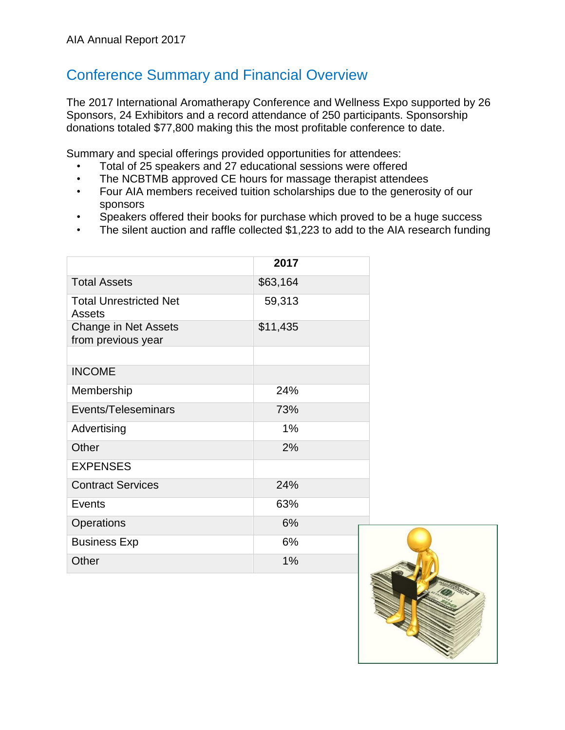# Conference Summary and Financial Overview

The 2017 International Aromatherapy Conference and Wellness Expo supported by 26 Sponsors, 24 Exhibitors and a record attendance of 250 participants. Sponsorship donations totaled \$77,800 making this the most profitable conference to date.

Summary and special offerings provided opportunities for attendees:

- Total of 25 speakers and 27 educational sessions were offered
- The NCBTMB approved CE hours for massage therapist attendees
- Four AIA members received tuition scholarships due to the generosity of our sponsors
- Speakers offered their books for purchase which proved to be a huge success
- The silent auction and raffle collected \$1,223 to add to the AIA research funding

|                                            | 2017     |  |
|--------------------------------------------|----------|--|
| <b>Total Assets</b>                        | \$63,164 |  |
| <b>Total Unrestricted Net</b><br>Assets    | 59,313   |  |
| Change in Net Assets<br>from previous year | \$11,435 |  |
|                                            |          |  |
| <b>INCOME</b>                              |          |  |
| Membership                                 | 24%      |  |
| Events/Teleseminars                        | 73%      |  |
| Advertising                                | 1%       |  |
| Other                                      | 2%       |  |
| <b>EXPENSES</b>                            |          |  |
| <b>Contract Services</b>                   | 24%      |  |
| Events                                     | 63%      |  |
| Operations                                 | 6%       |  |
| <b>Business Exp</b>                        | 6%       |  |
| Other                                      | 1%       |  |

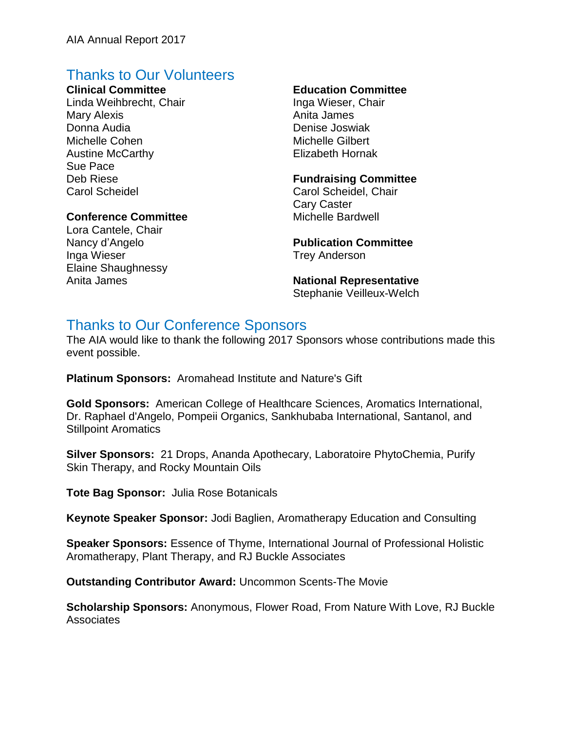# Thanks to Our Volunteers

#### **Clinical Committee**

Linda Weihbrecht, Chair Mary Alexis Donna Audia Michelle Cohen Austine McCarthy Sue Pace Deb Riese Carol Scheidel

#### **Conference Committee**

Lora Cantele, Chair Nancy d'Angelo Inga Wieser Elaine Shaughnessy Anita James

### **Education Committee**

Inga Wieser, Chair Anita James Denise Joswiak Michelle Gilbert Elizabeth Hornak

#### **Fundraising Committee**

Carol Scheidel, Chair Cary Caster Michelle Bardwell

**Publication Committee** Trey Anderson

**National Representative**  Stephanie Veilleux-Welch

# Thanks to Our Conference Sponsors

The AIA would like to thank the following 2017 Sponsors whose contributions made this event possible.

**Platinum Sponsors:** Aromahead Institute and Nature's Gift

**Gold Sponsors:** American College of Healthcare Sciences, Aromatics International, Dr. Raphael d'Angelo, Pompeii Organics, Sankhubaba International, Santanol, and Stillpoint Aromatics

**Silver Sponsors:** 21 Drops, Ananda Apothecary, Laboratoire PhytoChemia, Purify Skin Therapy, and Rocky Mountain Oils

**Tote Bag Sponsor:** Julia Rose Botanicals

**Keynote Speaker Sponsor:** Jodi Baglien, Aromatherapy Education and Consulting

**Speaker Sponsors:** Essence of Thyme, International Journal of Professional Holistic Aromatherapy, Plant Therapy, and RJ Buckle Associates

**Outstanding Contributor Award:** Uncommon Scents-The Movie

**Scholarship Sponsors:** Anonymous, Flower Road, From Nature With Love, RJ Buckle **Associates**